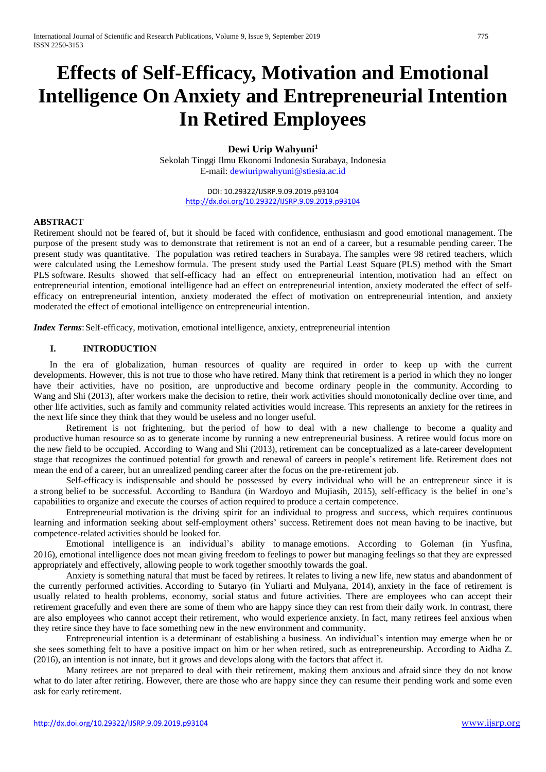# **Effects of Self-Efficacy, Motivation and Emotional Intelligence On Anxiety and Entrepreneurial Intention In Retired Employees**

# **Dewi Urip Wahyuni<sup>1</sup>**

Sekolah Tinggi Ilmu Ekonomi Indonesia Surabaya, Indonesia E-mail: dewiuripwahyuni@stiesia.ac.id

> DOI: 10.29322/IJSRP.9.09.2019.p93104 <http://dx.doi.org/10.29322/IJSRP.9.09.2019.p93104>

#### **ABSTRACT**

Retirement should not be feared of, but it should be faced with confidence, enthusiasm and good emotional management. The purpose of the present study was to demonstrate that retirement is not an end of a career, but a resumable pending career. The present study was quantitative. The population was retired teachers in Surabaya. The samples were 98 retired teachers, which were calculated using the Lemeshow formula. The present study used the Partial Least Square (PLS) method with the Smart PLS software. Results showed that self-efficacy had an effect on entrepreneurial intention, motivation had an effect on entrepreneurial intention, emotional intelligence had an effect on entrepreneurial intention, anxiety moderated the effect of selfefficacy on entrepreneurial intention, anxiety moderated the effect of motivation on entrepreneurial intention, and anxiety moderated the effect of emotional intelligence on entrepreneurial intention.

*Index Terms*: Self-efficacy, motivation, emotional intelligence, anxiety, entrepreneurial intention

### **I. INTRODUCTION**

 In the era of globalization, human resources of quality are required in order to keep up with the current developments. However, this is not true to those who have retired. Many think that retirement is a period in which they no longer have their activities, have no position, are unproductive and become ordinary people in the community. According to Wang and Shi (2013), after workers make the decision to retire, their work activities should monotonically decline over time, and other life activities, such as family and community related activities would increase. This represents an anxiety for the retirees in the next life since they think that they would be useless and no longer useful.

Retirement is not frightening, but the period of how to deal with a new challenge to become a quality and productive human resource so as to generate income by running a new entrepreneurial business. A retiree would focus more on the new field to be occupied. According to Wang and Shi (2013), retirement can be conceptualized as a late-career development stage that recognizes the continued potential for growth and renewal of careers in people's retirement life*.* Retirement does not mean the end of a career, but an unrealized pending career after the focus on the pre-retirement job.

Self-efficacy is indispensable and should be possessed by every individual who will be an entrepreneur since it is a strong belief to be successful. According to Bandura (in Wardoyo and Mujiasih, 2015), self-efficacy is the belief in one's capabilities to organize and execute the courses of action required to produce a certain competence.

Entrepreneurial motivation is the driving spirit for an individual to progress and success, which requires continuous learning and information seeking about self-employment others' success. Retirement does not mean having to be inactive, but competence-related activities should be looked for.

Emotional intelligence is an individual's ability to manage emotions. According to Goleman (in Yusfina, 2016), emotional intelligence does not mean giving freedom to feelings to power but managing feelings so that they are expressed appropriately and effectively, allowing people to work together smoothly towards the goal.

Anxiety is something natural that must be faced by retirees. It relates to living a new life, new status and abandonment of the currently performed activities. According to Sutaryo (in Yuliarti and Mulyana, 2014), anxiety in the face of retirement is usually related to health problems, economy, social status and future activities. There are employees who can accept their retirement gracefully and even there are some of them who are happy since they can rest from their daily work. In contrast, there are also employees who cannot accept their retirement, who would experience anxiety. In fact, many retirees feel anxious when they retire since they have to face something new in the new environment and community.

Entrepreneurial intention is a determinant of establishing a business. An individual's intention may emerge when he or she sees something felt to have a positive impact on him or her when retired, such as entrepreneurship. According to Aidha Z. (2016), an intention is not innate, but it grows and develops along with the factors that affect it.

Many retirees are not prepared to deal with their retirement, making them anxious and afraid since they do not know what to do later after retiring. However, there are those who are happy since they can resume their pending work and some even ask for early retirement.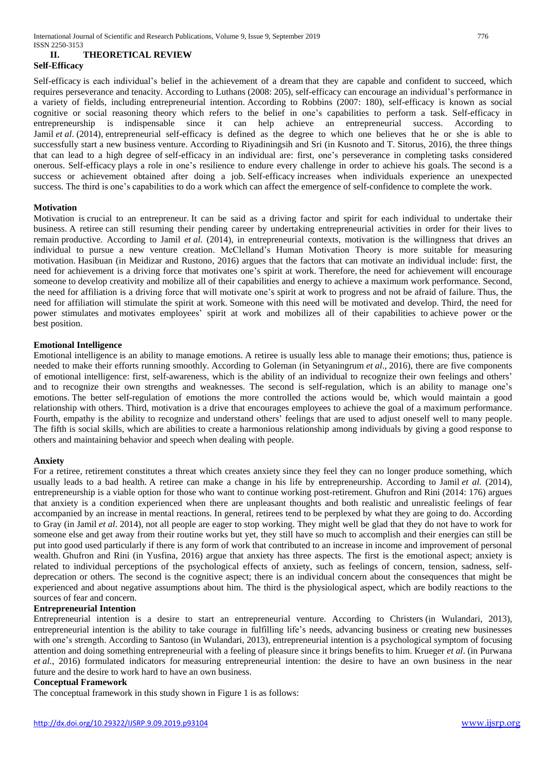# **II. THEORETICAL REVIEW**

# **Self-Efficacy**

Self-efficacy is each individual's belief in the achievement of a dream that they are capable and confident to succeed, which requires perseverance and tenacity. According to Luthans (2008: 205), self-efficacy can encourage an individual's performance in a variety of fields, including entrepreneurial intention. According to Robbins (2007: 180), self-efficacy is known as social cognitive or social reasoning theory which refers to the belief in one's capabilities to perform a task. Self-efficacy in entrepreneurship is indispensable since it can help achieve an entrepreneurial success. According to Jamil *et al.* (2014), entrepreneurial self-efficacy is defined as the degree to which one believes that he or she is able to successfully start a new business venture. According to Riyadiningsih and Sri (in Kusnoto and T. Sitorus, 2016), the three things that can lead to a high degree of self-efficacy in an individual are: first, one's perseverance in completing tasks considered onerous. Self-efficacy plays a role in one's resilience to endure every challenge in order to achieve his goals. The second is a success or achievement obtained after doing a job. Self-efficacy increases when individuals experience an unexpected success. The third is one's capabilities to do a work which can affect the emergence of self-confidence to complete the work.

### **Motivation**

Motivation is crucial to an entrepreneur. It can be said as a driving factor and spirit for each individual to undertake their business. A retiree can still resuming their pending career by undertaking entrepreneurial activities in order for their lives to remain productive. According to Jamil *et al.* (2014), in entrepreneurial contexts, motivation is the willingness that drives an individual to pursue a new venture creation. McClelland's Human Motivation Theory is more suitable for measuring motivation. Hasibuan (in Meidizar and Rustono, 2016) argues that the factors that can motivate an individual include: first, the need for achievement is a driving force that motivates one's spirit at work. Therefore, the need for achievement will encourage someone to develop creativity and mobilize all of their capabilities and energy to achieve a maximum work performance. Second, the need for affiliation is a driving force that will motivate one's spirit at work to progress and not be afraid of failure. Thus, the need for affiliation will stimulate the spirit at work. Someone with this need will be motivated and develop. Third, the need for power stimulates and motivates employees' spirit at work and mobilizes all of their capabilities to achieve power or the best position.

### **Emotional Intelligence**

Emotional intelligence is an ability to manage emotions. A retiree is usually less able to manage their emotions; thus, patience is needed to make their efforts running smoothly. According to Goleman (in Setyaningrum *et al*., 2016), there are five components of emotional intelligence: first, self-awareness, which is the ability of an individual to recognize their own feelings and others' and to recognize their own strengths and weaknesses. The second is self-regulation, which is an ability to manage one's emotions. The better self-regulation of emotions the more controlled the actions would be, which would maintain a good relationship with others. Third, motivation is a drive that encourages employees to achieve the goal of a maximum performance. Fourth, empathy is the ability to recognize and understand others' feelings that are used to adjust oneself well to many people. The fifth is social skills, which are abilities to create a harmonious relationship among individuals by giving a good response to others and maintaining behavior and speech when dealing with people.

# **Anxiety**

For a retiree, retirement constitutes a threat which creates anxiety since they feel they can no longer produce something, which usually leads to a bad health. A retiree can make a change in his life by entrepreneurship. According to Jamil *et al.* (2014), entrepreneurship is a viable option for those who want to continue working post-retirement. Ghufron and Rini (2014: 176) argues that anxiety is a condition experienced when there are unpleasant thoughts and both realistic and unrealistic feelings of fear accompanied by an increase in mental reactions. In general, retirees tend to be perplexed by what they are going to do. According to Gray (in Jamil *et al*. 2014), not all people are eager to stop working. They might well be glad that they do not have to work for someone else and get away from their routine works but yet, they still have so much to accomplish and their energies can still be put into good used particularly if there is any form of work that contributed to an increase in income and improvement of personal wealth. Ghufron and Rini (in Yusfina, 2016) argue that anxiety has three aspects. The first is the emotional aspect; anxiety is related to individual perceptions of the psychological effects of anxiety, such as feelings of concern, tension, sadness, selfdeprecation or others. The second is the cognitive aspect; there is an individual concern about the consequences that might be experienced and about negative assumptions about him. The third is the physiological aspect, which are bodily reactions to the sources of fear and concern.

### **Entrepreneurial Intention**

Entrepreneurial intention is a desire to start an entrepreneurial venture. According to Christers (in Wulandari, 2013), entrepreneurial intention is the ability to take courage in fulfilling life's needs, advancing business or creating new businesses with one's strength. According to Santoso (in Wulandari, 2013), entrepreneurial intention is a psychological symptom of focusing attention and doing something entrepreneurial with a feeling of pleasure since it brings benefits to him. Krueger *et al*. (in Purwana *et al.*, 2016) formulated indicators for measuring entrepreneurial intention: the desire to have an own business in the near future and the desire to work hard to have an own business.

#### **Conceptual Framework**

The conceptual framework in this study shown in Figure 1 is as follows: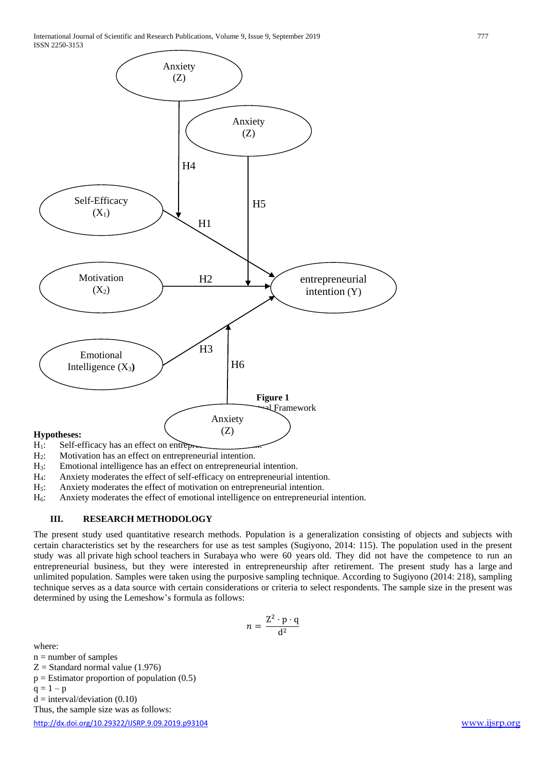

- 
- H<sub>2</sub>: Motivation has an effect on entrepreneurial intention.<br>H<sub>3</sub>: Emotional intelligence has an effect on entrepreneuri
- Emotional intelligence has an effect on entrepreneurial intention.
- H4: Anxiety moderates the effect of self-efficacy on entrepreneurial intention.
- H<sub>5</sub>: Anxiety moderates the effect of motivation on entrepreneurial intention.<br>H<sub>6</sub>: Anxiety moderates the effect of emotional intelligence on entrepreneurial
- Anxiety moderates the effect of emotional intelligence on entrepreneurial intention.

# **III. RESEARCH METHODOLOGY**

The present study used quantitative research methods. Population is a generalization consisting of objects and subjects with certain characteristics set by the researchers for use as test samples (Sugiyono, 2014: 115). The population used in the present study was all private high school teachers in Surabaya who were 60 years old. They did not have the competence to run an entrepreneurial business, but they were interested in entrepreneurship after retirement. The present study has a large and unlimited population. Samples were taken using the purposive sampling technique*.* According to Sugiyono (2014: 218), sampling technique serves as a data source with certain considerations or criteria to select respondents. The sample size in the present was determined by using the Lemeshow's formula as follows:

$$
n = \frac{Z^2 \cdot p \cdot q}{d^2}
$$

where:

- $n =$  number of samples
- $Z =$  Standard normal value (1.976)
- $p =$  Estimator proportion of population  $(0.5)$
- $q = 1 p$

Thus, the sample size was as follows:

 $d = interval/deviation (0.10)$ 

<http://dx.doi.org/10.29322/IJSRP.9.09.2019.p93104> [www.ijsrp.org](http://ijsrp.org/)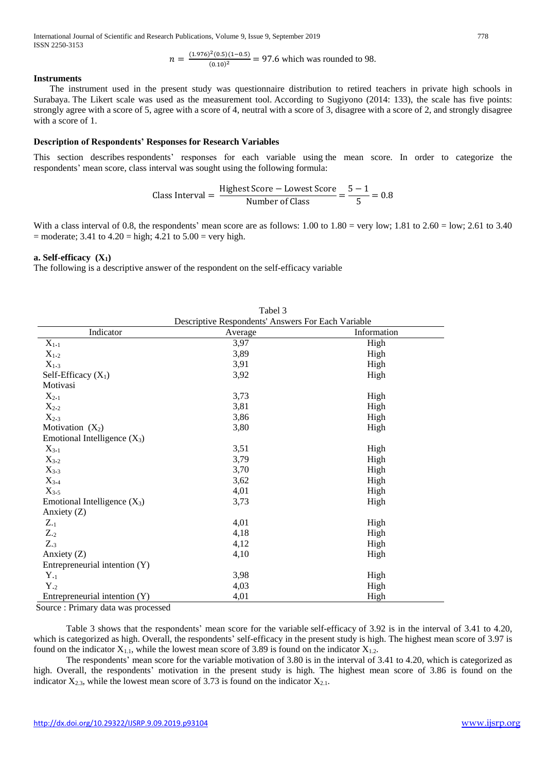International Journal of Scientific and Research Publications, Volume 9, Issue 9, September 2019 778 ISSN 2250-3153

$$
n = \frac{(1.976)^2 (0.5)(1 - 0.5)}{(0.10)^2} = 97.6
$$
 which was rounded to 98.

#### **Instruments**

 The instrument used in the present study was questionnaire distribution to retired teachers in private high schools in Surabaya. The Likert scale was used as the measurement tool. According to Sugiyono (2014: 133), the scale has five points: strongly agree with a score of 5, agree with a score of 4, neutral with a score of 3, disagree with a score of 2, and strongly disagree with a score of 1.

#### **Description of Respondents' Responses for Research Variables**

This section describes respondents' responses for each variable using the mean score. In order to categorize the respondents' mean score, class interval was sought using the following formula:

Class Interval = 
$$
\frac{\text{Higher Score} - \text{Lower Score}}{\text{Number of Class}} = \frac{5-1}{5} = 0.8
$$

With a class interval of 0.8, the respondents' mean score are as follows: 1.00 to 1.80 = very low; 1.81 to 2.60 = low; 2.61 to 3.40  $=$  moderate; 3.41 to 4.20  $=$  high; 4.21 to 5.00  $=$  very high.

#### **a. Self-efficacy (X1)**

The following is a descriptive answer of the respondent on the self-efficacy variable

|                                | Tabel 3                                            |             |  |  |
|--------------------------------|----------------------------------------------------|-------------|--|--|
|                                | Descriptive Respondents' Answers For Each Variable |             |  |  |
| Indicator                      | Average                                            | Information |  |  |
| $X_{1.1}$                      | 3,97                                               | High        |  |  |
| $X_{1\cdot 2}$                 | 3,89                                               | High        |  |  |
| $X_{1\cdot 3}$                 | 3,91                                               | High        |  |  |
| Self-Efficacy $(X_1)$          | 3,92                                               | High        |  |  |
| Motivasi                       |                                                    |             |  |  |
| $X_{2\cdot 1}$                 | 3,73                                               | High        |  |  |
| $X_{2.2}$                      | 3,81                                               | High        |  |  |
| $X_{2\cdot3}$                  | 3,86                                               | High        |  |  |
| Motivation $(X_2)$             | 3,80                                               | High        |  |  |
| Emotional Intelligence $(X_3)$ |                                                    |             |  |  |
| $X_{3\cdot 1}$                 | 3,51                                               | High        |  |  |
| $X_{3.2}$                      | 3,79                                               | High        |  |  |
| $X_{3.3}$                      | 3,70                                               | High        |  |  |
| $X_{3.4}$                      | 3,62                                               | High        |  |  |
| $X_{3.5}$                      | 4,01                                               | High        |  |  |
| Emotional Intelligence $(X_3)$ | 3,73                                               | High        |  |  |
| Anxiety $(Z)$                  |                                                    |             |  |  |
| $Z_{\cdot 1}$                  | 4,01                                               | High        |  |  |
| $Z_{\cdot2}$                   | 4,18                                               | High        |  |  |
| $Z_{.3}$                       | 4,12                                               | High        |  |  |
| Anxiety $(Z)$                  | 4,10                                               | High        |  |  |
| Entrepreneurial intention (Y)  |                                                    |             |  |  |
| $Y_{\cdot 1}$                  | 3,98                                               | High        |  |  |
| $Y_{.2}$                       | 4,03                                               | High        |  |  |
| Entrepreneurial intention (Y)  | 4,01                                               | High        |  |  |

Source : Primary data was processed

Table 3 shows that the respondents' mean score for the variable self-efficacy of 3.92 is in the interval of 3.41 to 4.20, which is categorized as high. Overall, the respondents' self-efficacy in the present study is high. The highest mean score of 3.97 is found on the indicator  $X_{1,1}$ , while the lowest mean score of 3.89 is found on the indicator  $X_{1,2}$ .

The respondents' mean score for the variable motivation of 3.80 is in the interval of 3.41 to 4.20, which is categorized as high. Overall, the respondents' motivation in the present study is high. The highest mean score of 3.86 is found on the indicator  $X_{2,3}$ , while the lowest mean score of 3.73 is found on the indicator  $X_{2,1}$ .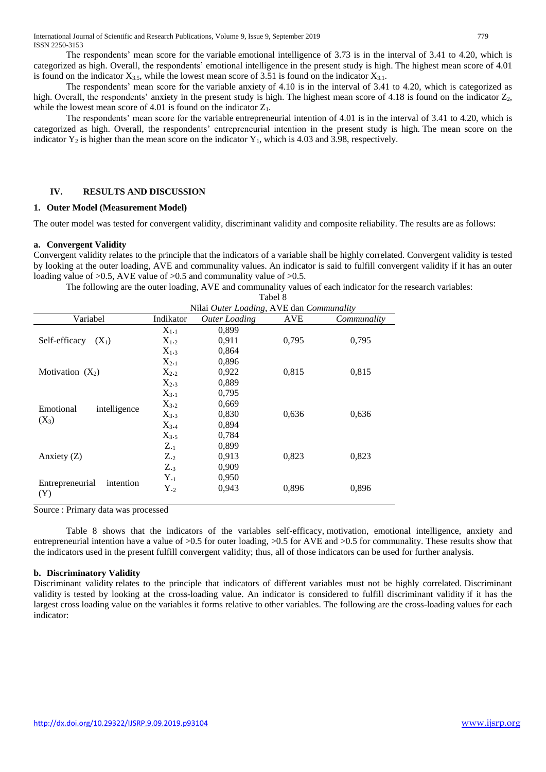The respondents' mean score for the variable emotional intelligence of 3.73 is in the interval of 3.41 to 4.20, which is categorized as high. Overall, the respondents' emotional intelligence in the present study is high. The highest mean score of 4.01 is found on the indicator  $X_3$ , while the lowest mean score of 3.51 is found on the indicator  $X_3$ .

The respondents' mean score for the variable anxiety of 4.10 is in the interval of 3.41 to 4.20, which is categorized as high. Overall, the respondents' anxiety in the present study is high. The highest mean score of 4.18 is found on the indicator  $Z_2$ , while the lowest mean score of 4.01 is found on the indicator  $Z_1$ .

The respondents' mean score for the variable entrepreneurial intention of 4.01 is in the interval of 3.41 to 4.20, which is categorized as high. Overall, the respondents' entrepreneurial intention in the present study is high. The mean score on the indicator  $Y_2$  is higher than the mean score on the indicator  $Y_1$ , which is 4.03 and 3.98, respectively.

#### **IV. RESULTS AND DISCUSSION**

#### **1. Outer Model (Measurement Model)**

The outer model was tested for convergent validity, discriminant validity and composite reliability. The results are as follows:

#### **a. Convergent Validity**

Convergent validity relates to the principle that the indicators of a variable shall be highly correlated. Convergent validity is tested by looking at the outer loading, AVE and communality values. An indicator is said to fulfill convergent validity if it has an outer loading value of  $>0.5$ , AVE value of  $>0.5$  and communality value of  $>0.5$ .

The following are the outer loading, AVE and communality values of each indicator for the research variables:

|                                     |                | Tabel 8                                  |       |             |  |  |
|-------------------------------------|----------------|------------------------------------------|-------|-------------|--|--|
|                                     |                | Nilai Outer Loading, AVE dan Communality |       |             |  |  |
| Variabel                            | Indikator      | <b>Outer Loading</b>                     | AVE   | Communality |  |  |
|                                     | $X_{1-1}$      | 0,899                                    |       |             |  |  |
| Self-efficacy<br>$(X_1)$            | $X_{1.2}$      | 0.911                                    | 0,795 | 0,795       |  |  |
|                                     | $X_{1.3}$      | 0,864                                    |       |             |  |  |
|                                     | $X_{2\cdot 1}$ | 0,896                                    |       |             |  |  |
| Motivation $(X_2)$                  | $X_{2\cdot 2}$ | 0,922                                    | 0.815 | 0,815       |  |  |
|                                     | $X_{2.3}$      | 0,889                                    |       |             |  |  |
|                                     | $X_{3-1}$      | 0,795                                    |       |             |  |  |
| Emotional                           | $X_{3.2}$      | 0,669                                    |       |             |  |  |
| intelligence                        | $X_{3.3}$      | 0,830                                    | 0,636 | 0.636       |  |  |
| $(X_3)$                             | $X_{3.4}$      | 0,894                                    |       |             |  |  |
|                                     | $X_{3.5}$      | 0,784                                    |       |             |  |  |
|                                     | $Z_{\cdot 1}$  | 0,899                                    |       |             |  |  |
| Anxiety $(Z)$                       | $Z_{\cdot2}$   | 0,913                                    | 0,823 | 0,823       |  |  |
|                                     | $Z_{.3}$       | 0,909                                    |       |             |  |  |
|                                     | $Y_{\cdot 1}$  | 0,950                                    |       |             |  |  |
| Entrepreneurial<br>intention<br>(Y) | $Y_{\cdot2}$   | 0,943                                    | 0,896 | 0,896       |  |  |

Source : Primary data was processed

Table 8 shows that the indicators of the variables self-efficacy, motivation, emotional intelligence, anxiety and entrepreneurial intention have a value of >0.5 for outer loading, >0.5 for AVE and >0.5 for communality. These results show that the indicators used in the present fulfill convergent validity; thus, all of those indicators can be used for further analysis.

#### **b. Discriminatory Validity**

Discriminant validity relates to the principle that indicators of different variables must not be highly correlated. Discriminant validity is tested by looking at the cross-loading value. An indicator is considered to fulfill discriminant validity if it has the largest cross loading value on the variables it forms relative to other variables. The following are the cross-loading values for each indicator: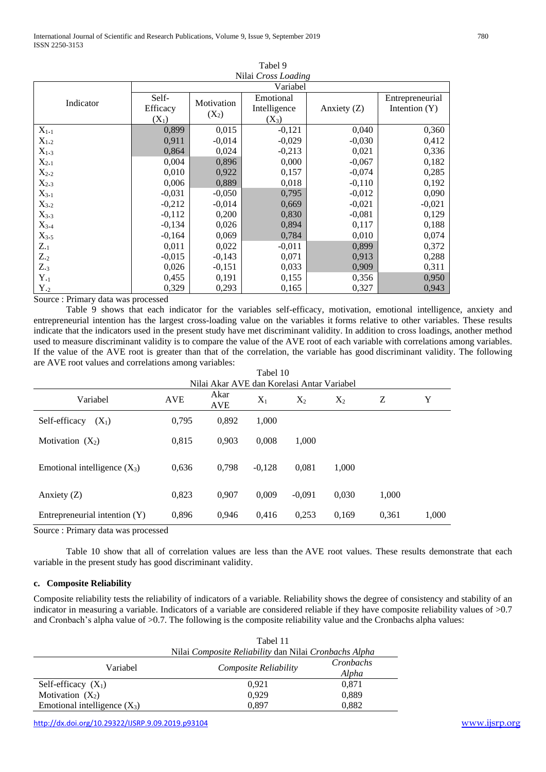|                     |          |            | <b>LAUCL</b> <sub>7</sub> |               |                 |  |  |
|---------------------|----------|------------|---------------------------|---------------|-----------------|--|--|
| Nilai Cross Loading |          |            |                           |               |                 |  |  |
|                     | Variabel |            |                           |               |                 |  |  |
| Indicator           | Self-    | Motivation | Emotional                 |               | Entrepreneurial |  |  |
|                     | Efficacy |            | Intelligence              | Anxiety $(Z)$ | Intention $(Y)$ |  |  |
|                     | $(X_1)$  | $(X_2)$    | $(X_3)$                   |               |                 |  |  |
| $X_{1-1}$           | 0,899    | 0,015      | $-0,121$                  | 0,040         | 0,360           |  |  |
| $X_{12}$            | 0,911    | $-0,014$   | $-0,029$                  | $-0,030$      | 0,412           |  |  |
| $X_{1.3}$           | 0,864    | 0,024      | $-0,213$                  | 0,021         | 0,336           |  |  |
| $X_{2\cdot 1}$      | 0,004    | 0,896      | 0,000                     | $-0,067$      | 0,182           |  |  |
| $X_{2\cdot 2}$      | 0,010    | 0,922      | 0,157                     | $-0,074$      | 0,285           |  |  |
| $X_{2.3}$           | 0,006    | 0,889      | 0,018                     | $-0,110$      | 0,192           |  |  |
| $X_{3\cdot 1}$      | $-0,031$ | $-0,050$   | 0,795                     | $-0,012$      | 0,090           |  |  |
| $X_{3.2}$           | $-0,212$ | $-0,014$   | 0,669                     | $-0,021$      | $-0,021$        |  |  |
| $X_{3.3}$           | $-0,112$ | 0,200      | 0,830                     | $-0,081$      | 0,129           |  |  |
| $X_{3.4}$           | $-0,134$ | 0,026      | 0,894                     | 0,117         | 0,188           |  |  |
| $X_{3.5}$           | $-0,164$ | 0,069      | 0,784                     | 0,010         | 0,074           |  |  |
| $Z_{\cdot 1}$       | 0,011    | 0,022      | $-0,011$                  | 0,899         | 0,372           |  |  |
| $Z_{\cdot2}$        | $-0,015$ | $-0,143$   | 0,071                     | 0,913         | 0,288           |  |  |
| $Z_{.3}$            | 0,026    | $-0,151$   | 0,033                     | 0,909         | 0,311           |  |  |
| $Y_{\cdot 1}$       | 0,455    | 0,191      | 0,155                     | 0,356         | 0,950           |  |  |
| $Y_{.2}$            | 0,329    | 0,293      | 0,165                     | 0,327         | 0,943           |  |  |

 $T<sub>ab</sub>1<sub>0</sub>$ 

Source : Primary data was processed

Table 9 shows that each indicator for the variables self-efficacy, motivation, emotional intelligence, anxiety and entrepreneurial intention has the largest cross-loading value on the variables it forms relative to other variables. These results indicate that the indicators used in the present study have met discriminant validity. In addition to cross loadings, another method used to measure discriminant validity is to compare the value of the AVE root of each variable with correlations among variables. If the value of the AVE root is greater than that of the correlation, the variable has good discriminant validity. The following are AVE root values and correlations among variables:

Tabel 10

|                                | Nilai Akar AVE dan Korelasi Antar Variabel |                    |          |          |       |       |       |
|--------------------------------|--------------------------------------------|--------------------|----------|----------|-------|-------|-------|
| Variabel                       | <b>AVE</b>                                 | Akar<br><b>AVE</b> | $X_1$    | $X_2$    | $X_2$ | Ζ     | Y     |
| Self-efficacy<br>$(X_1)$       | 0,795                                      | 0,892              | 1,000    |          |       |       |       |
| Motivation $(X_2)$             | 0,815                                      | 0.903              | 0,008    | 1.000    |       |       |       |
| Emotional intelligence $(X_3)$ | 0,636                                      | 0.798              | $-0.128$ | 0.081    | 1,000 |       |       |
| Anxiety $(Z)$                  | 0,823                                      | 0.907              | 0.009    | $-0.091$ | 0,030 | 1,000 |       |
| Entrepreneurial intention (Y)  | 0,896                                      | 0.946              | 0.416    | 0,253    | 0.169 | 0,361 | 1,000 |

Source : Primary data was processed

Table 10 show that all of correlation values are less than the AVE root values. These results demonstrate that each variable in the present study has good discriminant validity.

# **c. Composite Reliability**

Composite reliability tests the reliability of indicators of a variable. Reliability shows the degree of consistency and stability of an indicator in measuring a variable. Indicators of a variable are considered reliable if they have composite reliability values of >0.7 and Cronbach's alpha value of >0.7. The following is the composite reliability value and the Cronbachs alpha values:

|                                | Tabel 11                                              |           |  |  |
|--------------------------------|-------------------------------------------------------|-----------|--|--|
|                                | Nilai Composite Reliability dan Nilai Cronbachs Alpha |           |  |  |
| Variabel                       | Composite Reliability                                 | Cronbachs |  |  |
|                                |                                                       | Alpha     |  |  |
| Self-efficacy $(X_1)$          | 0.921                                                 | 0,871     |  |  |
| Motivation $(X_2)$             | 0.929                                                 | 0,889     |  |  |
| Emotional intelligence $(X_3)$ | 0.897                                                 | 0,882     |  |  |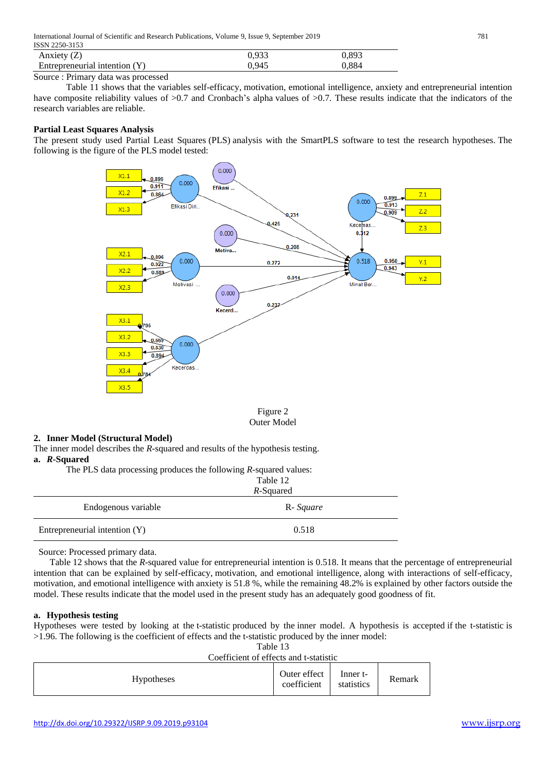| 1991 1 2290 9199                |       |       |
|---------------------------------|-------|-------|
| Anxiety $(Z)$                   | 0.933 | 0.893 |
| Entrepreneurial intention $(Y)$ | ).945 | 0.884 |
|                                 |       |       |

Source : Primary data was processed

Table 11 shows that the variables self-efficacy, motivation, emotional intelligence, anxiety and entrepreneurial intention have composite reliability values of  $>0.7$  and Cronbach's alpha values of  $>0.7$ . These results indicate that the indicators of the research variables are reliable.

# **Partial Least Squares Analysis**

The present study used Partial Least Squares (PLS) analysis with the SmartPLS software to test the research hypotheses. The following is the figure of the PLS model tested:



Figure 2 Outer Model

# **2. Inner Model (Structural Model)**

The inner model describes the *R*-squared and results of the hypothesis testing. **a.** *R***-Squared**

The PLS data processing produces the following *R*-squared values:

|                               | Table 12<br>R-Squared |  |
|-------------------------------|-----------------------|--|
| Endogenous variable           | R- Square             |  |
| Entrepreneurial intention (Y) | 0.518                 |  |

Source: Processed primary data.

 Table 12 shows that the *R*-squared value for entrepreneurial intention is 0.518. It means that the percentage of entrepreneurial intention that can be explained by self-efficacy, motivation, and emotional intelligence*,* along with interactions of self-efficacy, motivation, and emotional intelligence with anxiety is 51.8 %, while the remaining 48.2% is explained by other factors outside the model. These results indicate that the model used in the present study has an adequately good goodness of fit.

# **a. Hypothesis testing**

Hypotheses were tested by looking at the t-statistic produced by the inner model. A hypothesis is accepted if the t-statistic is >1.96. The following is the coefficient of effects and the t-statistic produced by the inner model:

| г<br>٠.<br>-17<br>۹<br>×<br>× |
|-------------------------------|
|-------------------------------|

|                   | Coefficient of effects and t-statistic |                             |                        |        |
|-------------------|----------------------------------------|-----------------------------|------------------------|--------|
| <b>Hypotheses</b> |                                        | Outer effect<br>coefficient | Inner t-<br>statistics | Remark |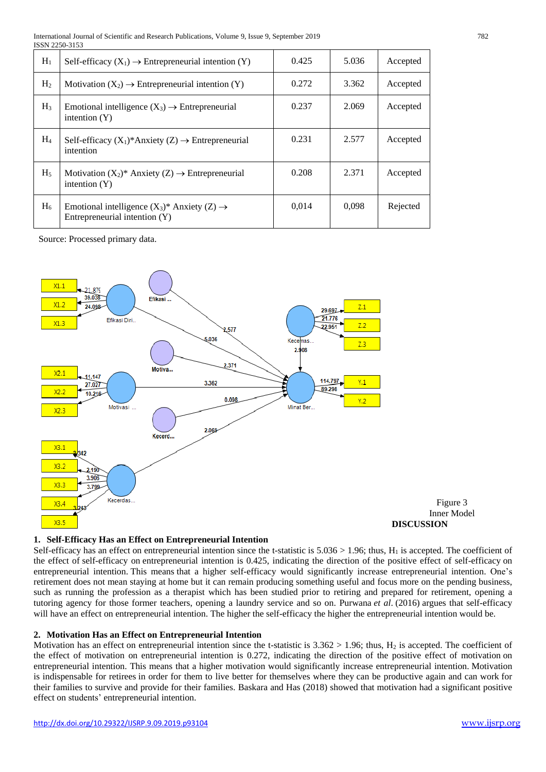| $H_1$          | Self-efficacy $(X_1) \rightarrow$ Entrepreneurial intention $(Y)$                           | 0.425 | 5.036 | Accepted |
|----------------|---------------------------------------------------------------------------------------------|-------|-------|----------|
| H <sub>2</sub> | Motivation $(X_2) \rightarrow$ Entrepreneurial intention $(Y)$                              | 0.272 | 3.362 | Accepted |
| $H_3$          | Emotional intelligence $(X_3) \rightarrow$ Entrepreneurial<br>intention $(Y)$               | 0.237 | 2.069 | Accepted |
| $H_4$          | Self-efficacy $(X_1)^*$ Anxiety $(Z) \rightarrow$ Entrepreneurial<br>intention              | 0.231 | 2.577 | Accepted |
| H <sub>5</sub> | Motivation $(X_2)^*$ Anxiety $(Z) \rightarrow$ Entrepreneurial<br>intention $(Y)$           | 0.208 | 2.371 | Accepted |
| $H_6$          | Emotional intelligence $(X_3)^*$ Anxiety $(Z) \rightarrow$<br>Entrepreneurial intention (Y) | 0.014 | 0.098 | Rejected |

Source: Processed primary data.



# **1. Self-Efficacy Has an Effect on Entrepreneurial Intention**

Self-efficacy has an effect on entrepreneurial intention since the t-statistic is  $5.036 > 1.96$ ; thus,  $H_1$  is accepted. The coefficient of the effect of self-efficacy on entrepreneurial intention is 0.425, indicating the direction of the positive effect of self-efficacy on entrepreneurial intention. This means that a higher self-efficacy would significantly increase entrepreneurial intention. One's retirement does not mean staying at home but it can remain producing something useful and focus more on the pending business, such as running the profession as a therapist which has been studied prior to retiring and prepared for retirement, opening a tutoring agency for those former teachers, opening a laundry service and so on. Purwana *et al*. (2016) argues that self-efficacy will have an effect on entrepreneurial intention. The higher the self-efficacy the higher the entrepreneurial intention would be.

# **2. Motivation Has an Effect on Entrepreneurial Intention**

Motivation has an effect on entrepreneurial intention since the t-statistic is  $3.362 > 1.96$ ; thus,  $H_2$  is accepted. The coefficient of the effect of motivation on entrepreneurial intention is 0.272, indicating the direction of the positive effect of motivation on entrepreneurial intention. This means that a higher motivation would significantly increase entrepreneurial intention. Motivation is indispensable for retirees in order for them to live better for themselves where they can be productive again and can work for their families to survive and provide for their families. Baskara and Has (2018) showed that motivation had a significant positive effect on students' entrepreneurial intention.

Figure 3 Inner Model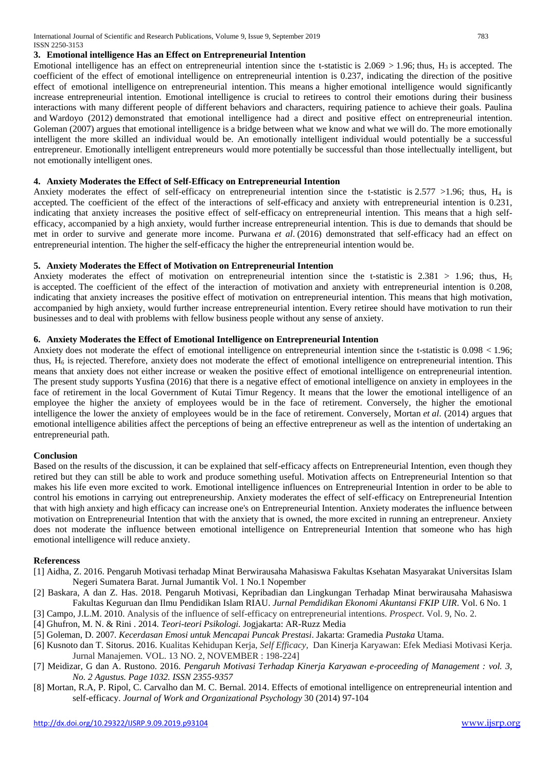# **3. Emotional intelligence Has an Effect on Entrepreneurial Intention**

Emotional intelligence has an effect on entrepreneurial intention since the t-statistic is  $2.069 > 1.96$ ; thus,  $H_3$  is accepted. The coefficient of the effect of emotional intelligence on entrepreneurial intention is 0.237, indicating the direction of the positive effect of emotional intelligence on entrepreneurial intention. This means a higher emotional intelligence would significantly increase entrepreneurial intention. Emotional intelligence is crucial to retirees to control their emotions during their business interactions with many different people of different behaviors and characters, requiring patience to achieve their goals. Paulina and Wardoyo (2012) demonstrated that emotional intelligence had a direct and positive effect on entrepreneurial intention. Goleman (2007) argues that emotional intelligence is a bridge between what we know and what we will do. The more emotionally intelligent the more skilled an individual would be. An emotionally intelligent individual would potentially be a successful entrepreneur. Emotionally intelligent entrepreneurs would more potentially be successful than those intellectually intelligent, but not emotionally intelligent ones.

# **4. Anxiety Moderates the Effect of Self-Efficacy on Entrepreneurial Intention**

Anxiety moderates the effect of self-efficacy on entrepreneurial intention since the t-statistic is  $2.577 > 1.96$ ; thus, H<sub>4</sub> is accepted. The coefficient of the effect of the interactions of self-efficacy and anxiety with entrepreneurial intention is 0.231, indicating that anxiety increases the positive effect of self-efficacy on entrepreneurial intention. This means that a high selfefficacy, accompanied by a high anxiety, would further increase entrepreneurial intention. This is due to demands that should be met in order to survive and generate more income. Purwana *et al*. (2016) demonstrated that self-efficacy had an effect on entrepreneurial intention. The higher the self-efficacy the higher the entrepreneurial intention would be.

# **5. Anxiety Moderates the Effect of Motivation on Entrepreneurial Intention**

Anxiety moderates the effect of motivation on entrepreneurial intention since the t-statistic is  $2.381 > 1.96$ ; thus, H<sub>5</sub> is accepted. The coefficient of the effect of the interaction of motivation and anxiety with entrepreneurial intention is 0.208, indicating that anxiety increases the positive effect of motivation on entrepreneurial intention. This means that high motivation, accompanied by high anxiety, would further increase entrepreneurial intention. Every retiree should have motivation to run their businesses and to deal with problems with fellow business people without any sense of anxiety.

# **6. Anxiety Moderates the Effect of Emotional Intelligence on Entrepreneurial Intention**

Anxiety does not moderate the effect of emotional intelligence on entrepreneurial intention since the t-statistic is 0.098 < 1.96; thus,  $H_6$  is rejected. Therefore, anxiety does not moderate the effect of emotional intelligence on entrepreneurial intention. This means that anxiety does not either increase or weaken the positive effect of emotional intelligence on entrepreneurial intention. The present study supports Yusfina (2016) that there is a negative effect of emotional intelligence on anxiety in employees in the face of retirement in the local Government of Kutai Timur Regency. It means that the lower the emotional intelligence of an employee the higher the anxiety of employees would be in the face of retirement. Conversely, the higher the emotional intelligence the lower the anxiety of employees would be in the face of retirement. Conversely, Mortan *et al*. (2014) argues that emotional intelligence abilities affect the perceptions of being an effective entrepreneur as well as the intention of undertaking an entrepreneurial path.

# **Conclusion**

Based on the results of the discussion, it can be explained that self-efficacy affects on Entrepreneurial Intention, even though they retired but they can still be able to work and produce something useful. Motivation affects on Entrepreneurial Intention so that makes his life even more excited to work. Emotional intelligence influences on Entrepreneurial Intention in order to be able to control his emotions in carrying out entrepreneurship. Anxiety moderates the effect of self-efficacy on Entrepreneurial Intention that with high anxiety and high efficacy can increase one's on Entrepreneurial Intention. Anxiety moderates the influence between motivation on Entrepreneurial Intention that with the anxiety that is owned, the more excited in running an entrepreneur. Anxiety does not moderate the influence between emotional intelligence on Entrepreneurial Intention that someone who has high emotional intelligence will reduce anxiety.

# **R**e**ferencess**

- [1] Aidha, Z. 2016. Pengaruh Motivasi terhadap Minat Berwirausaha Mahasiswa Fakultas Ksehatan Masyarakat Universitas Islam Negeri Sumatera Barat. Jurnal Jumantik Vol. 1 No.1 Nopember
- [2] Baskara, A dan Z. Has. 2018. Pengaruh Motivasi, Kepribadian dan Lingkungan Terhadap Minat berwirausaha Mahasiswa Fakultas Keguruan dan Ilmu Pendidikan Islam RIAU. *Jurnal Pemdidikan Ekonomi Akuntansi FKIP UIR*. Vol. 6 No. 1
- [3] Campo, J.L.M. 2010. Analysis of the influence of self-efficacy on entrepreneurial intentions. *Prospect*. Vol. 9, No. 2.
- [4] Ghufron, M. N. & Rini . 2014. *Teori-teori Psikologi.* Jogjakarta: AR-Ruzz Media
- [5] Goleman, D. 2007*. Kecerdasan Emosi untuk Mencapai Puncak Prestasi*. Jakarta: Gramedia *Pustaka* Utama.
- [6] Kusnoto dan T. Sitorus. 2016. Kualitas Kehidupan Kerja, *Self Efficacy,* Dan Kinerja Karyawan: Efek Mediasi Motivasi Kerja. Jurnal Manajemen. VOL. 13 NO. 2, NOVEMBER : 198-224]
- [7] Meidizar, G dan A. Rustono. 2016*. Pengaruh Motivasi Terhadap Kinerja Karyawan e-proceeding of Management : vol. 3, No. 2 Agustus. Page 1032. ISSN 2355-9357*
- [8] Mortan, R.A, P. Ripol, C. Carvalho dan M. C. Bernal. 2014. Effects of emotional intelligence on entrepreneurial intention and self-efficacy. *Journal of Work and Organizational Psychology* 30 (2014) 97-104